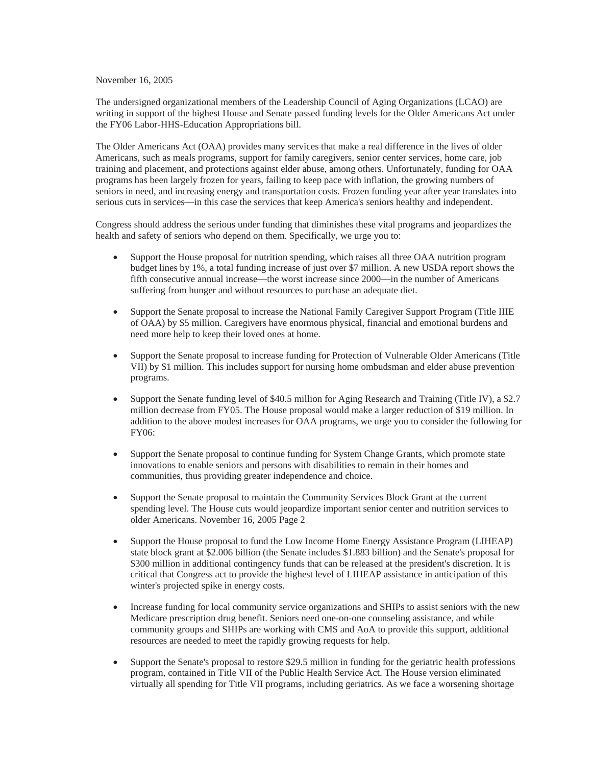November 16, 2005

The undersigned organizational members of the Leadership Council of Aging Organizations (LCAO) are writing in support of the highest House and Senate passed funding levels for the Older Americans Act under the FY06 Labor-HHS-Education Appropriations bill.

The Older Americans Act (OAA) provides many services that make a real difference in the lives of older Americans, such as meals programs, support for family caregivers, senior center services, home care, job training and placement, and protections against elder abuse, among others. Unfortunately, funding for OAA programs has been largely frozen for years, failing to keep pace with inflation, the growing numbers of seniors in need, and increasing energy and transportation costs. Frozen funding year after year translates into serious cuts in services—in this case the services that keep America's seniors healthy and independent.

Congress should address the serious under funding that diminishes these vital programs and jeopardizes the health and safety of seniors who depend on them. Specifically, we urge you to:

- Support the House proposal for nutrition spending, which raises all three OAA nutrition program budget lines by 1%, a total funding increase of just over \$7 million. A new USDA report shows the fifth consecutive annual increase—the worst increase since 2000—in the number of Americans suffering from hunger and without resources to purchase an adequate diet.
- Support the Senate proposal to increase the National Family Caregiver Support Program (Title IIIE of OAA) by \$5 million. Caregivers have enormous physical, financial and emotional burdens and need more help to keep their loved ones at home.
- Support the Senate proposal to increase funding for Protection of Vulnerable Older Americans (Title VII) by \$1 million. This includes support for nursing home ombudsman and elder abuse prevention programs.
- Support the Senate funding level of \$40.5 million for Aging Research and Training (Title IV), a \$2.7 million decrease from FY05. The House proposal would make a larger reduction of \$19 million. In addition to the above modest increases for OAA programs, we urge you to consider the following for FY06:
- Support the Senate proposal to continue funding for System Change Grants, which promote state innovations to enable seniors and persons with disabilities to remain in their homes and communities, thus providing greater independence and choice.
- x Support the Senate proposal to maintain the Community Services Block Grant at the current spending level. The House cuts would jeopardize important senior center and nutrition services to older Americans. November 16, 2005 Page 2
- x Support the House proposal to fund the Low Income Home Energy Assistance Program (LIHEAP) state block grant at \$2.006 billion (the Senate includes \$1.883 billion) and the Senate's proposal for \$300 million in additional contingency funds that can be released at the president's discretion. It is critical that Congress act to provide the highest level of LIHEAP assistance in anticipation of this winter's projected spike in energy costs.
- Increase funding for local community service organizations and SHIPs to assist seniors with the new Medicare prescription drug benefit. Seniors need one-on-one counseling assistance, and while community groups and SHIPs are working with CMS and AoA to provide this support, additional resources are needed to meet the rapidly growing requests for help.
- Support the Senate's proposal to restore \$29.5 million in funding for the geriatric health professions program, contained in Title VII of the Public Health Service Act. The House version eliminated virtually all spending for Title VII programs, including geriatrics. As we face a worsening shortage